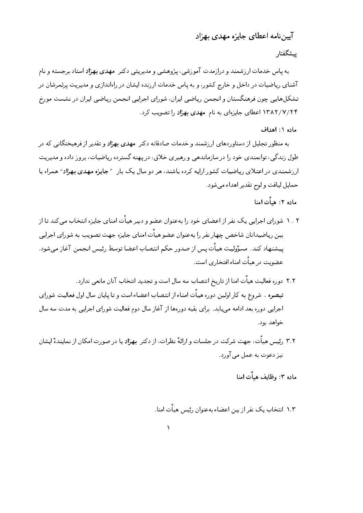## آییننامه اعطای جایزه مهدی بهزاد

## پیشگفتا,

به پاس خدمات ارزشمند و درازمدت آموزشی، پژوهشی و مدیریتی دکتر مهدی بهزاد استاد برجسته و نام آشنای ریاضیات در داخل و خارج کشور، و به پاس خدمات ارزنده ایشان در راهاندازی و مدیریت پرثمرشان در تشکلهایی چون فرهنگستان و انجمن ریاضی ایران، شورای اجرایی انجمن ریاضی ایران در نشست مورخ ۱۳۸۲/۷/۲۴ اعطای جایزهای به نام مهدی بهزاد را تصویب کرد.

ماده ١: اهداف

به منظور تجلیل از دستاوردهای ارزشمند و خدمات صادقانه دکتر **مهدی بهزاد** و تقدیر از فرهیختگانی که در طول زندگی، توانمندی خود را در سازماندهی و رهبری خلاق، در یهنه گسترده ریاضیات، بروز داده و مدیریت ارزشمندی در اعتلای ریاضیات کشور ارایه کرده باشند، هر دو سال یک بار " جایزه مهدی بهزاد" همراه با حمايل لياقت و لوح تقدير اهداء مي شود.

## ماده ۲: هيأت امنا

- ۰ . ۲ شورای اجرایی یک نفر از اعضای خود را بهعنوان عضو و دبیر هیأت امنای جایزه انتخاب میکند تا از بین ریاضیدانان شاخص چهار نفر را بهعنوان عضو هیأت امنای جایزه جهت تصویب به شورای اجرایی ييشنهاد كند. مسؤوليت هيأت يس از صدور حكم انتصاب اعضا توسط رئيس انجمن آغاز مى شود. عضویت در هیأت امناءافتخاری است.
- ٢.٢ دوره فعالیت هیاّت امنا از تاریخ انتصاب سه سال است و تجدید انتخاب آنان مانعی ندارد. تبصره . شروع به کار اولین دوره هیأت امناء از انتصاب اعضاء است و تا پایان سال اول فعالیت شورای اجرایی دوره بعد ادامه می،یابد. برای بقیه دورهها از آغاز سال دوم فعالیت شورای اجرایی به مدت سه سال خواهد يود.
- ۳.۲٪ رئیس هیأت، جهت شرکت در جلسات و ارائهٔ نظرات، از دکتر بهزاد یا در صورت امکان از نمایندهٔ ایشان نيز دعوت به عمل مي آورد.

ماده ۳: وظایف هیأت امنا

۱.۳ انتخاب یک نفر از بین اعضاء بهعنوان ,ئسی هیأت امنا.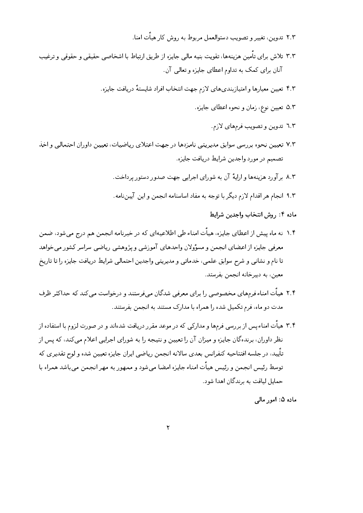- 3- -S) \_ ` (\P
 452 ))a2 ,2 <3:
- 4)W 2BAQA)AQ C-@
 `-J2
 b L 
 &6- P- ) \$A2 6 ,)-S 2 %
 \_I2 :3:  $\frac{1}{2}$   $\frac{1}{2}$   $\frac{1}{2}$   $\frac{1}{2}$   $\frac{1}{2}$   $\frac{1}{2}$   $\frac{1}{2}$   $\frac{1}{2}$   $\frac{1}{2}$   $\frac{1}{2}$   $\frac{1}{2}$ 
	- 3&6- \$/- S 
	 /
	 R-@
	 \$G c %-% -)
	 --)\ ,))\2 ?3:
		- 3&6- %-78
		 &d "- ^ ,))\2 e3:
			- 3c %- / 452 ,2 f3:
- g 
P-Q
 "

 ,) ) \ 2 )\*- %I8
 \$G -6- b   &d ,) ) \ 2 >3: 3&6- \$/- Z
 ,
 [)52
	- $\mathbf{1} \quad \mathbf{1} \quad \mathbf{1} \quad \mathbf{1} \quad \mathbf{3} \quad \mathbf{3} \quad \mathbf{4} \quad \mathbf{5} \quad \mathbf{1} \quad \mathbf{5} \quad \mathbf{1} \quad \mathbf{1} \quad \mathbf{1} \quad \mathbf{1} \quad \mathbf{1} \quad \mathbf{1} \quad \mathbf{1} \quad \mathbf{1} \quad \mathbf{1} \quad \mathbf{1} \quad \mathbf{1} \quad \mathbf{1} \quad \mathbf{1} \quad \mathbf{1} \quad \mathbf{1} \quad \mathbf{1} \quad \mathbf{1} \quad \mathbf{$
	- $\frac{1}{2}$  ,  $\frac{1}{2}$  ,  $\frac{1}{2}$  ,  $\frac{1}{2}$  ,  $\frac{1}{2}$  ,  $\frac{1}{2}$  ,  $\frac{1}{2}$  ,  $\frac{1}{2}$  ,  $\frac{1}{2}$  ,  $\frac{1}{2}$  ,  $\frac{1}{2}$  ,  $\frac{1}{2}$ 
		- ماده ۱: روش انتحاب واجدین شرایط
- ۱۰۱ ته ماه پیس از اعطای جایزه، هیات امناء طی اطلاعیهای که در خبرنامه انجمن هم درج می سود، صمن ری بر رسال است و برای رو است و است و است و است و است و است و است و است و است و است و است و است و است و است و ا ] -2 -2 
 &6- \$/- Z
 P-Q
 ,
 2- D8 b  O - - -2  $\mathcal{L} = \mathcal{L} = \mathcal{L} = \mathcal{L} = \mathcal{L} = \mathcal{L} = \mathcal{L} = \mathcal{L} = \mathcal{L} = \mathcal{L} = \mathcal{L} = \mathcal{L} = \mathcal{L} = \mathcal{L} = \mathcal{L} = \mathcal{L} = \mathcal{L} = \mathcal{L} = \mathcal{L} = \mathcal{L} = \mathcal{L} = \mathcal{L} = \mathcal{L} = \mathcal{L} = \mathcal{L} = \mathcal{L} = \mathcal{L} = \mathcal{L} = \mathcal{L} = \mathcal{L} = \mathcal{L} = \mathcal$
- ا المستحدث المتحدث المستحدث المستحدث المستحدث المستحدث المستحدث المستحدث المستحدث المستحدث المستحدث المستحدث المستحدث المستحدث المستحدث 3 U , m
 - &

 & ()12 / &-
- &-U
 6P C 
& \$/- A 8 
 - /  
 X DZ- -S) :3?  $\alpha$  , and  $\alpha$  is the state of the state of the state of the state of the state of the state of the state of the state of the state of the state of the state of the state of the state of the state of the state of the sta % A2 OP & ,))\2 &6- "

 \*- , c- %\ X
 U )Q-/
 D )-S 2 توسيع رئيس الحمل و رئيس شناخا امتاع جايره امتينا مے شود و ممنون رئيس مهر الحمل مے ناسب شمراه با  $\mathbf{1}$  ,  $\mathbf{1}$  ,  $\mathbf{1}$  ,  $\mathbf{1}$  ,  $\mathbf{1}$  ,  $\mathbf{1}$  ,  $\mathbf{1}$  ,  $\mathbf{1}$  ,  $\mathbf{1}$  ,  $\mathbf{1}$  ,  $\mathbf{1}$  ,  $\mathbf{1}$  ,  $\mathbf{1}$  ,  $\mathbf{1}$  ,  $\mathbf{1}$  ,  $\mathbf{1}$  ,  $\mathbf{1}$  ,  $\mathbf{1}$  ,  $\mathbf{1}$  ,  $\mathbf{1}$  ,

-.- / 0 -